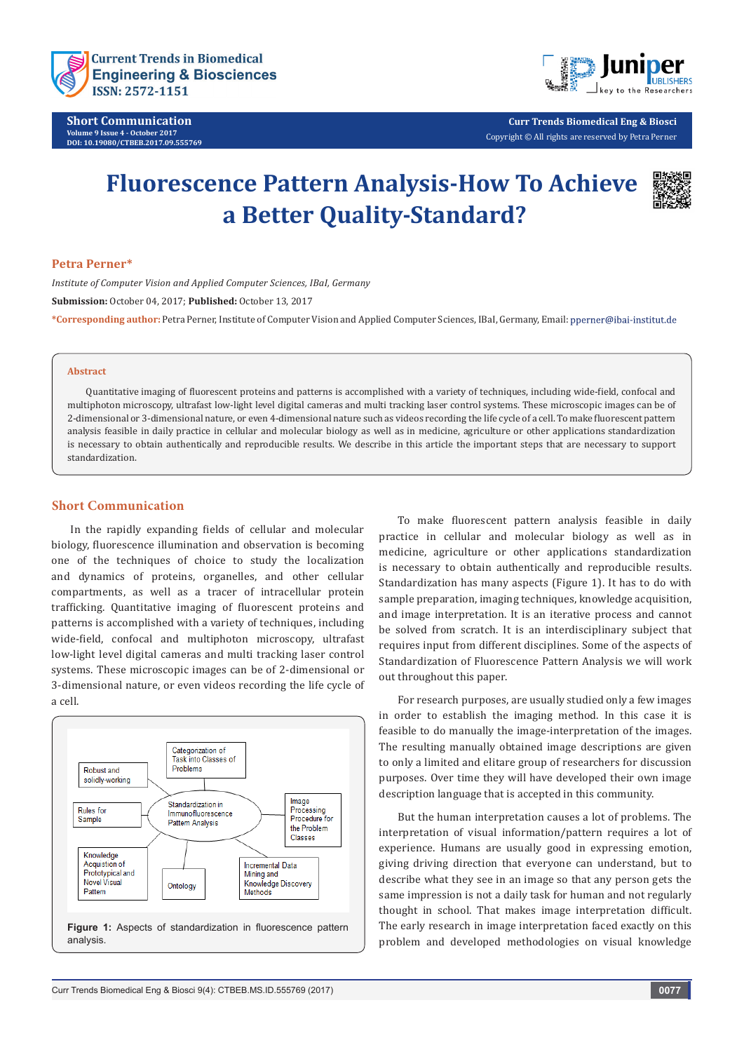

**Short Communication Volume 9 Issue 4 - October 2017 DOI: [10.19080/CTBEB.2017.09.555769](http://dx.doi.org/10.19080/CTBEB.2017.09.555769)**



**Curr Trends Biomedical Eng & Biosci** Copyright © All rights are reserved by Petra Perner

# **Fluorescence Pattern Analysis-How To Achieve a Better Quality-Standard?**



#### **Petra Perner\***

*Institute of Computer Vision and Applied Computer Sciences, IBaI, Germany* **Submission:** October 04, 2017; **Published:** October 13, 2017 **\*Corresponding author:** Petra Perner, Institute of Computer Vision and Applied Computer Sciences, IBaI, Germany, Email:

#### **Abstract**

Quantitative imaging of fluorescent proteins and patterns is accomplished with a variety of techniques, including wide-field, confocal and multiphoton microscopy, ultrafast low-light level digital cameras and multi tracking laser control systems. These microscopic images can be of 2-dimensional or 3-dimensional nature, or even 4-dimensional nature such as videos recording the life cycle of a cell. To make fluorescent pattern analysis feasible in daily practice in cellular and molecular biology as well as in medicine, agriculture or other applications standardization is necessary to obtain authentically and reproducible results. We describe in this article the important steps that are necessary to support standardization.

### **Short Communication**

In the rapidly expanding fields of cellular and molecular biology, fluorescence illumination and observation is becoming one of the techniques of choice to study the localization and dynamics of proteins, organelles, and other cellular compartments, as well as a tracer of intracellular protein trafficking. Quantitative imaging of fluorescent proteins and patterns is accomplished with a variety of techniques, including wide-field, confocal and multiphoton microscopy, ultrafast low-light level digital cameras and multi tracking laser control systems. These microscopic images can be of 2-dimensional or 3-dimensional nature, or even videos recording the life cycle of a cell.



To make fluorescent pattern analysis feasible in daily practice in cellular and molecular biology as well as in medicine, agriculture or other applications standardization is necessary to obtain authentically and reproducible results. Standardization has many aspects (Figure 1). It has to do with sample preparation, imaging techniques, knowledge acquisition, and image interpretation. It is an iterative process and cannot be solved from scratch. It is an interdisciplinary subject that requires input from different disciplines. Some of the aspects of Standardization of Fluorescence Pattern Analysis we will work out throughout this paper.

For research purposes, are usually studied only a few images in order to establish the imaging method. In this case it is feasible to do manually the image-interpretation of the images. The resulting manually obtained image descriptions are given to only a limited and elitare group of researchers for discussion purposes. Over time they will have developed their own image description language that is accepted in this community.

But the human interpretation causes a lot of problems. The interpretation of visual information/pattern requires a lot of experience. Humans are usually good in expressing emotion, giving driving direction that everyone can understand, but to describe what they see in an image so that any person gets the same impression is not a daily task for human and not regularly thought in school. That makes image interpretation difficult. The early research in image interpretation faced exactly on this problem and developed methodologies on visual knowledge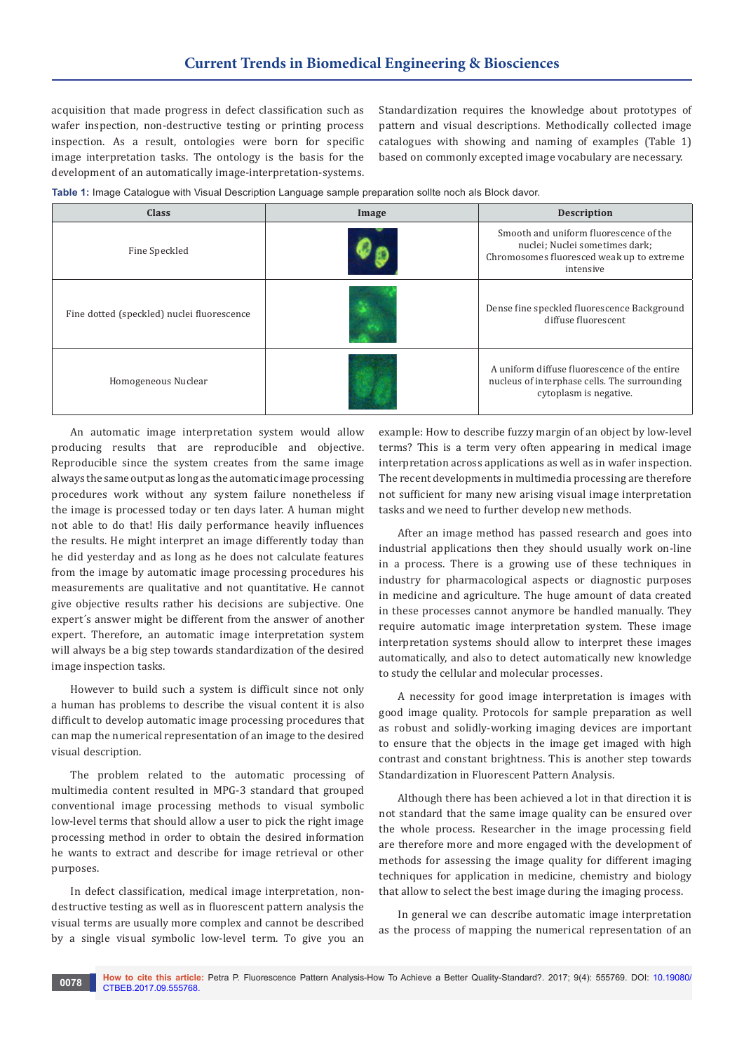acquisition that made progress in defect classification such as wafer inspection, non-destructive testing or printing process inspection. As a result, ontologies were born for specific image interpretation tasks. The ontology is the basis for the development of an automatically image-interpretation-systems.

Standardization requires the knowledge about prototypes of pattern and visual descriptions. Methodically collected image catalogues with showing and naming of examples (Table 1) based on commonly excepted image vocabulary are necessary.



| <b>Class</b>                               | Image | <b>Description</b>                                                                                                                 |
|--------------------------------------------|-------|------------------------------------------------------------------------------------------------------------------------------------|
| Fine Speckled                              |       | Smooth and uniform fluorescence of the<br>nuclei; Nuclei sometimes dark;<br>Chromosomes fluoresced weak up to extreme<br>intensive |
| Fine dotted (speckled) nuclei fluorescence |       | Dense fine speckled fluorescence Background<br>diffuse fluorescent                                                                 |
| Homogeneous Nuclear                        |       | A uniform diffuse fluorescence of the entire<br>nucleus of interphase cells. The surrounding<br>cytoplasm is negative.             |

An automatic image interpretation system would allow producing results that are reproducible and objective. Reproducible since the system creates from the same image always the same output as long as the automatic image processing procedures work without any system failure nonetheless if the image is processed today or ten days later. A human might not able to do that! His daily performance heavily influences the results. He might interpret an image differently today than he did yesterday and as long as he does not calculate features from the image by automatic image processing procedures his measurements are qualitative and not quantitative. He cannot give objective results rather his decisions are subjective. One expert´s answer might be different from the answer of another expert. Therefore, an automatic image interpretation system will always be a big step towards standardization of the desired image inspection tasks.

However to build such a system is difficult since not only a human has problems to describe the visual content it is also difficult to develop automatic image processing procedures that can map the numerical representation of an image to the desired visual description.

The problem related to the automatic processing of multimedia content resulted in MPG-3 standard that grouped conventional image processing methods to visual symbolic low-level terms that should allow a user to pick the right image processing method in order to obtain the desired information he wants to extract and describe for image retrieval or other purposes.

In defect classification, medical image interpretation, nondestructive testing as well as in fluorescent pattern analysis the visual terms are usually more complex and cannot be described by a single visual symbolic low-level term. To give you an

example: How to describe fuzzy margin of an object by low-level terms? This is a term very often appearing in medical image interpretation across applications as well as in wafer inspection. The recent developments in multimedia processing are therefore not sufficient for many new arising visual image interpretation tasks and we need to further develop new methods.

After an image method has passed research and goes into industrial applications then they should usually work on-line in a process. There is a growing use of these techniques in industry for pharmacological aspects or diagnostic purposes in medicine and agriculture. The huge amount of data created in these processes cannot anymore be handled manually. They require automatic image interpretation system. These image interpretation systems should allow to interpret these images automatically, and also to detect automatically new knowledge to study the cellular and molecular processes.

A necessity for good image interpretation is images with good image quality. Protocols for sample preparation as well as robust and solidly-working imaging devices are important to ensure that the objects in the image get imaged with high contrast and constant brightness. This is another step towards Standardization in Fluorescent Pattern Analysis.

Although there has been achieved a lot in that direction it is not standard that the same image quality can be ensured over the whole process. Researcher in the image processing field are therefore more and more engaged with the development of methods for assessing the image quality for different imaging techniques for application in medicine, chemistry and biology that allow to select the best image during the imaging process.

In general we can describe automatic image interpretation as the process of mapping the numerical representation of an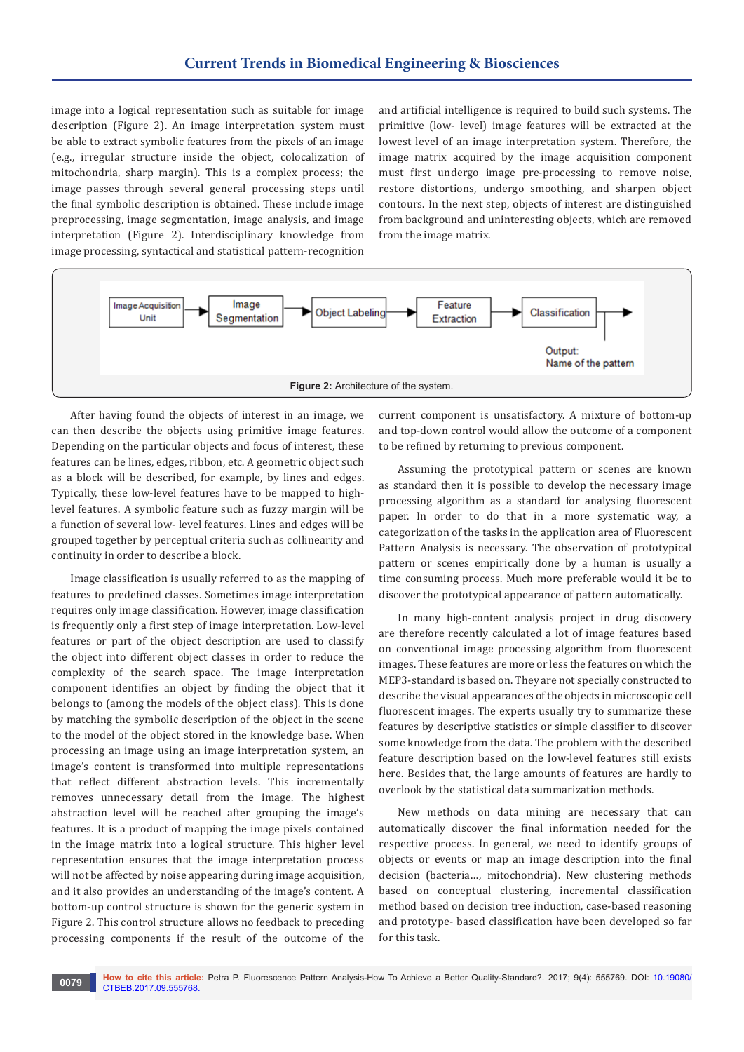image into a logical representation such as suitable for image description (Figure 2). An image interpretation system must be able to extract symbolic features from the pixels of an image (e.g., irregular structure inside the object, colocalization of mitochondria, sharp margin). This is a complex process; the image passes through several general processing steps until the final symbolic description is obtained. These include image preprocessing, image segmentation, image analysis, and image interpretation (Figure 2). Interdisciplinary knowledge from image processing, syntactical and statistical pattern-recognition

and artificial intelligence is required to build such systems. The primitive (low- level) image features will be extracted at the lowest level of an image interpretation system. Therefore, the image matrix acquired by the image acquisition component must first undergo image pre-processing to remove noise, restore distortions, undergo smoothing, and sharpen object contours. In the next step, objects of interest are distinguished from background and uninteresting objects, which are removed from the image matrix.



After having found the objects of interest in an image, we can then describe the objects using primitive image features. Depending on the particular objects and focus of interest, these features can be lines, edges, ribbon, etc. A geometric object such as a block will be described, for example, by lines and edges. Typically, these low-level features have to be mapped to highlevel features. A symbolic feature such as fuzzy margin will be a function of several low- level features. Lines and edges will be grouped together by perceptual criteria such as collinearity and continuity in order to describe a block.

Image classification is usually referred to as the mapping of features to predefined classes. Sometimes image interpretation requires only image classification. However, image classification is frequently only a first step of image interpretation. Low-level features or part of the object description are used to classify the object into different object classes in order to reduce the complexity of the search space. The image interpretation component identifies an object by finding the object that it belongs to (among the models of the object class). This is done by matching the symbolic description of the object in the scene to the model of the object stored in the knowledge base. When processing an image using an image interpretation system, an image's content is transformed into multiple representations that reflect different abstraction levels. This incrementally removes unnecessary detail from the image. The highest abstraction level will be reached after grouping the image's features. It is a product of mapping the image pixels contained in the image matrix into a logical structure. This higher level representation ensures that the image interpretation process will not be affected by noise appearing during image acquisition, and it also provides an understanding of the image's content. A bottom-up control structure is shown for the generic system in Figure 2. This control structure allows no feedback to preceding processing components if the result of the outcome of the

current component is unsatisfactory. A mixture of bottom-up and top-down control would allow the outcome of a component to be refined by returning to previous component.

Assuming the prototypical pattern or scenes are known as standard then it is possible to develop the necessary image processing algorithm as a standard for analysing fluorescent paper. In order to do that in a more systematic way, a categorization of the tasks in the application area of Fluorescent Pattern Analysis is necessary. The observation of prototypical pattern or scenes empirically done by a human is usually a time consuming process. Much more preferable would it be to discover the prototypical appearance of pattern automatically.

In many high-content analysis project in drug discovery are therefore recently calculated a lot of image features based on conventional image processing algorithm from fluorescent images. These features are more or less the features on which the MEP3-standard is based on. They are not specially constructed to describe the visual appearances of the objects in microscopic cell fluorescent images. The experts usually try to summarize these features by descriptive statistics or simple classifier to discover some knowledge from the data. The problem with the described feature description based on the low-level features still exists here. Besides that, the large amounts of features are hardly to overlook by the statistical data summarization methods.

New methods on data mining are necessary that can automatically discover the final information needed for the respective process. In general, we need to identify groups of objects or events or map an image description into the final decision (bacteria…, mitochondria). New clustering methods based on conceptual clustering, incremental classification method based on decision tree induction, case-based reasoning and prototype- based classification have been developed so far for this task.